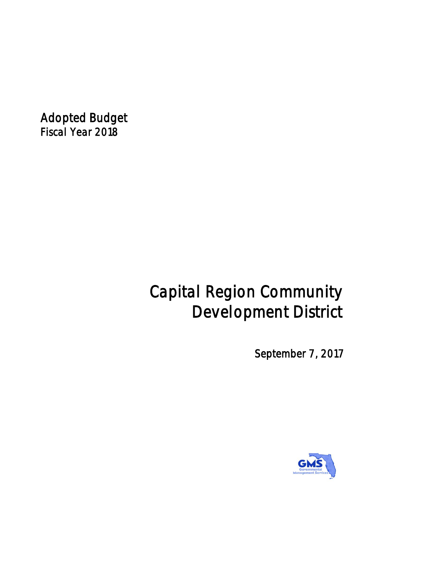*Adopted Budget Fiscal Year 2018*

# *Capital Region Community Development District*

*September 7, 2017*

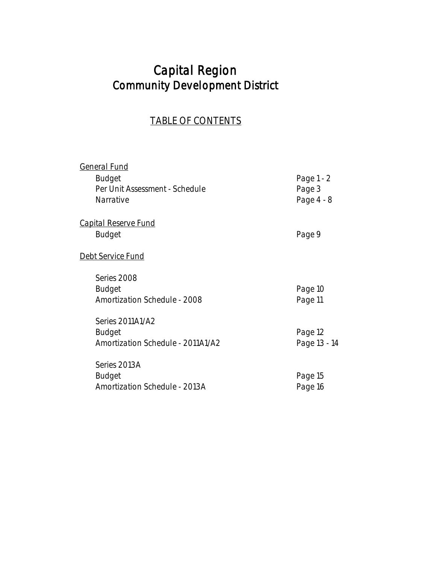## *Capital Region Community Development District*

## *TABLE OF CONTENTS*

| General Fund                        |              |
|-------------------------------------|--------------|
| Budget                              | Page 1 - 2   |
| Per Unit Assessment - Schedule      | Page 3       |
| Narrative                           | Page 4 - 8   |
| <u>Capital Reserve Fund</u>         |              |
| <b>Budget</b>                       | Page 9       |
| <u>Debt Service Fund</u>            |              |
| Series 2008                         |              |
| Budget                              | Page 10      |
| <b>Amortization Schedule - 2008</b> | Page 11      |
| Series 2011A1/A2                    |              |
| Budget                              | Page 12      |
| Amortization Schedule - 2011A1/A2   | Page 13 - 14 |
| Series 2013A                        |              |
| Budget                              | Page 15      |
| Amortization Schedule - 2013A       | Page 16      |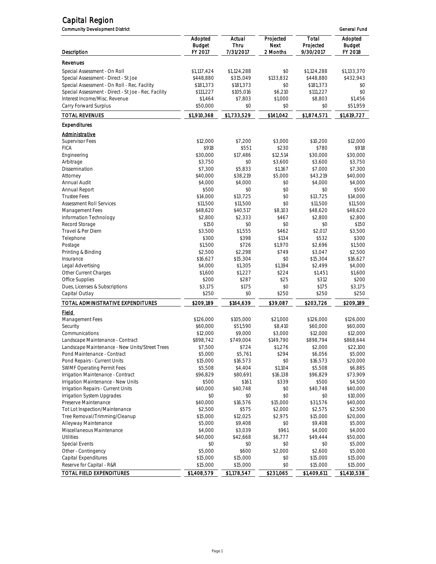| <b>Community Development District</b>                |                          |                  |                   |                     | General Fund             |
|------------------------------------------------------|--------------------------|------------------|-------------------|---------------------|--------------------------|
|                                                      | Adopted<br><b>Budget</b> | Actual<br>Thru   | Projected<br>Next | Total<br>Projected  | Adopted<br><b>Budget</b> |
| Description                                          | FY 2017                  | 7/31/2017        | 2 Months          | <i>9/30/2017</i>    | FY 2018                  |
| Revenues                                             |                          |                  |                   |                     |                          |
| Special Assessment - On Roll                         | \$1,117,424              | \$1,124,288      | \$0               | \$1,124,288         | \$1,133,370              |
| Special Assessment - Direct - St Joe                 | \$448,880                | \$315,049        | \$133,832         | \$448,880           | \$432,943                |
| Special Assessment - On Roll - Rec. Facility         | \$181,373                | \$181,373        | \$0               | \$181,373           | \$0                      |
| Special Assessment - Direct - St Joe - Rec. Facility | \$111,227                | \$105,016        | \$6,210           | \$111,227           | \$0                      |
| Interest Income/Misc. Revenue                        | \$1,464                  | \$7,803          | \$1,000           | \$8,803             | \$1,456                  |
| Carry Forward Surplus                                | \$50,000                 | \$0              | \$0               | \$0                 | \$51,959                 |
| <b>TOTAL REVENUES</b>                                | \$1,910,368              | \$1,733,529      | \$141,042         | \$1,874,571         | \$1,619,727              |
| Expenditures                                         |                          |                  |                   |                     |                          |
| <u>Administrative</u>                                |                          |                  |                   |                     |                          |
| <b>Supervisor Fees</b>                               | \$12,000                 | \$7,200          | \$3,000           | \$10,200            | \$12,000                 |
| <b>FICA</b>                                          | \$918                    | \$551            | \$230             | \$780               | \$918                    |
| Engineering                                          | \$30,000                 | \$17,486         | \$12,514          | \$30,000            | \$30,000                 |
| Arbitrage                                            | \$3,750                  | \$0              | \$3,600           | \$3,600             | \$3,750                  |
| Dissemination                                        | \$7,300                  | \$5,833          | \$1,167           | \$7,000             | \$7,300                  |
| Attorney                                             | \$40,000                 | \$38,219         | \$5,000           | \$43,219            | \$40,000                 |
| Annual Audit                                         | \$4,000                  | \$4,000          | \$0               | \$4,000             | \$4,000                  |
| Annual Report                                        | \$500                    | \$0              | \$0               | \$0                 | \$500                    |
| <b>Trustee Fees</b>                                  | \$14,000                 | \$13.725         | \$0               | \$13,725            | \$14,000                 |
| <b>Assessment Roll Services</b>                      | \$11,500                 | \$11,500         | \$0               | \$11,500            | \$11,500                 |
| Management Fees                                      | \$48,620                 | \$40,517         | \$8,103           | \$48,620            | \$48.620                 |
| Information Technology                               | \$2,800                  | \$2,333          | \$467             | \$2,800             | \$2,800                  |
| Record Storage                                       | \$150                    | \$0              | \$0               | \$0                 | \$150                    |
| Travel & Per Diem                                    | \$3,500<br>\$300         | \$1,555<br>\$398 | \$462<br>\$134    | \$2,017<br>\$532    | \$3,500<br>\$300         |
| Telephone                                            |                          |                  |                   |                     |                          |
| Postage                                              | \$1,500<br>\$2,500       | \$726<br>\$2,298 | \$1,970<br>\$749  | \$2,696             | \$1,500<br>\$2,500       |
| Printing & Binding<br>Insurance                      | \$16,627                 | \$15,304         | \$0               | \$3,047<br>\$15,304 | \$16,627                 |
| Legal Advertising                                    | \$4,000                  | \$1,305          | \$1,194           | \$2,499             | \$4,000                  |
| <b>Other Current Charges</b>                         | \$1,600                  | \$1,227          | \$224             | \$1,451             | \$1,600                  |
| <b>Office Supplies</b>                               | \$200                    | \$287            | \$25              | \$312               | \$200                    |
| Dues, Licenses & Subscriptions                       | \$3,175                  | \$175            | \$0               | \$175               | \$3,175                  |
| Capital Outlay                                       | \$250                    | \$0              | \$250             | \$250               | \$250                    |
| TOTAL ADMINISTRATIVE EXPENDITURES                    | \$209,189                | \$164,639        | \$39,087          | \$203,726           | \$209,189                |
| <u>Fleid</u>                                         |                          |                  |                   |                     |                          |
| <b>Management Fees</b>                               | \$126,000                | \$105,000        | \$21,000          | \$126,000           | \$126,000                |
| Security                                             | \$60,000                 | \$51,590         | \$8,410           | \$60,000            | \$60,000                 |
| Communications                                       | \$12,000                 | \$9,000          | \$3,000           | \$12,000            | \$12,000                 |
| Landscape Maintenance - Contract                     | \$898,742                | \$749,004        | \$149,790         | \$898,794           | \$868,644                |
| Landscape Maintenance - New Units/Street Trees       | \$7,500                  | \$724            | \$1,276           | \$2,000             | \$22,100                 |
| Pond Maintenance - Contract                          | \$5,000                  | \$5,761          | \$294             | \$6,056             | \$5,000                  |
| Pond Repairs - Current Units                         | \$15,000                 | \$16,573         | \$0               | \$16,573            | \$20,000                 |
| <b>SWMF Operating Permit Fees</b>                    | \$5,508                  | \$4,404          | \$1,104           | \$5,508             | \$6,885                  |
| Irrigation Maintenance - Contract                    | \$96,829                 | \$80,691         | \$16,138          | \$96,829            | \$73,909                 |
| Irrigation Maintenance - New Units                   | \$500                    | \$161            | \$339             | \$500               | \$4,500                  |
| Irrigation Repairs - Current Units                   | \$40,000                 | \$40,748         | \$0               | \$40,748            | \$40,000                 |
| Irrigation System Upgrades                           | \$0                      | \$0              | \$0               | \$0                 | \$10,000                 |
| Preserve Maintenance                                 | \$40,000                 | \$16,576         | \$15,000          | \$31,576            | \$40,000                 |
| Tot Lot Inspection/Maintenance                       | \$2,500                  | \$575            | \$2,000           | \$2,575             | \$2,500                  |
| Tree Removal/Trimming/Cleanup                        | \$15,000                 | \$12,025         | \$2,975           | \$15,000            | \$20,000                 |
| Alleyway Maintenance                                 | \$5,000                  | \$9,408          | \$0               | \$9,408             | \$5,000                  |
| Miscellaneous Maintenance                            | \$4,000                  | \$3,039          | \$961             | \$4,000             | \$4,000                  |
| <b>Utilities</b>                                     | \$40,000                 | \$42,668         | \$6,777           | \$49,444            | \$50,000                 |
| <b>Special Events</b>                                | \$0                      | \$0              | \$0               | \$0                 | \$5,000                  |
| Other - Contingency                                  | \$5,000                  | \$600            | \$2,000           | \$2,600             | \$5,000                  |
| Capital Expenditures                                 | \$15,000                 | \$15,000         | \$0               | \$15,000            | \$15,000                 |
| Reserve for Capital - R&R                            | \$15,000                 | \$15,000         | \$0               | \$15,000            | \$15,000                 |
| TOTAL FIELD EXPENDITURES                             | \$1,408,579              | \$1,178,547      | \$231,065         | \$1,409,611         | \$1,410,538              |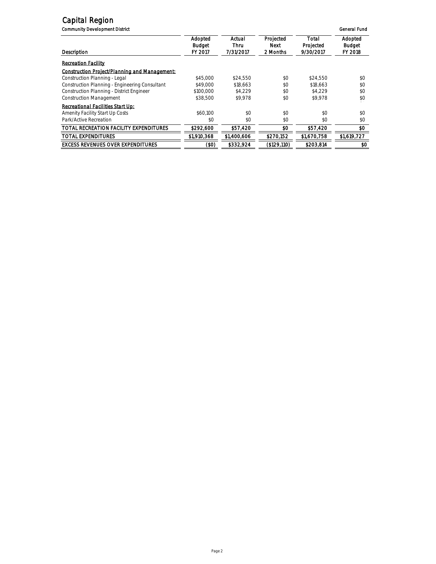**Community Development District General Fund** 

| Description                                      | Adopted<br>Budget<br>FY 2017 | Actual<br>Thru<br>7/31/2017 | Projected<br>Next<br>2 Months | Total<br>Projected<br>9/30/2017 | Adopted<br>Budget<br>FY 2018 |
|--------------------------------------------------|------------------------------|-----------------------------|-------------------------------|---------------------------------|------------------------------|
| <b>Recreation Facility</b>                       |                              |                             |                               |                                 |                              |
| Construction Project/Planning and Management:    |                              |                             |                               |                                 |                              |
| Construction Planning - Legal                    | \$45,000                     | \$24.550                    | \$0                           | \$24.550                        | \$0                          |
| Construction Planning - Engineering Consultant   | \$49,000                     | \$18.663                    | \$0                           | \$18.663                        | \$0                          |
| <b>Construction Planning - District Engineer</b> | \$100,000                    | \$4.229                     | \$0                           | \$4.229                         | \$0                          |
| <b>Construction Management</b>                   | \$38,500                     | \$9.978                     | \$0                           | \$9.978                         | \$0                          |
| Recreational Facilities Start Up:                |                              |                             |                               |                                 |                              |
| Amenity Facility Start Up Costs                  | \$60.100                     | $$^{o}$                     | \$0                           | \$0                             | \$0                          |
| Park/Active Recreation                           | \$0                          | \$0                         | \$0                           | \$0                             | \$0                          |
| TOTAL RECREATION FACILITY EXPENDITURES           | \$292,600                    | \$57,420                    | \$0                           | \$57,420                        | \$0                          |
| <b>TOTAL EXPENDITURES</b>                        | \$1,910,368                  | \$1,400,606                 | \$270.152                     | \$1,670,758                     | \$1,619,727                  |
| <b>EXCESS REVENUES OVER EXPENDITURES</b>         | (\$0)                        | \$332,924                   | (\$129.110)                   | \$203,814                       | \$0                          |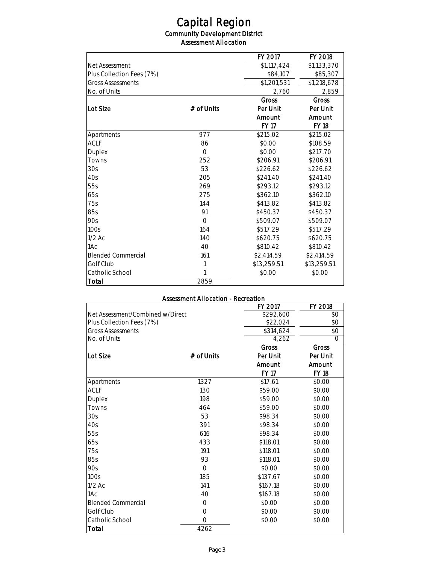*Community Development District Assessment Allocation* 

|                           |            | FY 2017     | FY 2018     |
|---------------------------|------------|-------------|-------------|
| Net Assessment            |            | \$1,117,424 | \$1,133,370 |
| Plus Collection Fees (7%) |            | \$84,107    | \$85,307    |
| <b>Gross Assessments</b>  |            | \$1,201,531 | \$1,218,678 |
| No. of Units              |            | 2,760       | 2,859       |
|                           |            | Gross       | Gross       |
| Lot Size                  | # of Units | Per Unit    | Per Unit    |
|                           |            | Amount      | Amount      |
|                           |            | FY 17       | FY 18       |
| Apartments                | 977        | \$215.02    | \$215.02    |
| ACL F                     | 86         | \$0.00      | \$108.59    |
| Duplex                    | $\Omega$   | \$0.00      | \$217.70    |
| <b>Towns</b>              | 252        | \$206.91    | \$206.91    |
| 30s                       | 53         | \$226.62    | \$226.62    |
| 4Os                       | 205        | \$241.40    | \$241.40    |
| 55s                       | 269        | \$293.12    | \$293.12    |
| 65s                       | 275        | \$362.10    | \$362.10    |
| 75s                       | 144        | \$413.82    | \$413.82    |
| 85s                       | 91         | \$450.37    | \$450.37    |
| 90s                       | $\Omega$   | \$509.07    | \$509.07    |
| 100s                      | 164        | \$517.29    | \$517.29    |
| $1/2$ Ac                  | 140        | \$620.75    | \$620.75    |
| 1Ac                       | 40         | \$810.42    | \$810.42    |
| <b>Blended Commercial</b> | 161        | \$2,414.59  | \$2,414.59  |
| Golf Club                 | 1          | \$13,259.51 | \$13,259.51 |
| Catholic School           |            | \$0.00      | \$0.00      |
| Total                     | 2859       |             |             |

### *Assessment Allocation - Recreation*

|                                  |            | FY 2017   | FY 2018  |
|----------------------------------|------------|-----------|----------|
| Net Assessment/Combined w/Direct |            | \$292,600 | \$0      |
| Plus Collection Fees (7%)        |            | \$22,024  | \$0      |
| <b>Gross Assessments</b>         |            | \$314,624 | \$0      |
| No. of Units                     |            | 4,262     | $\Omega$ |
|                                  |            | Gross     | Gross    |
| Lot Size                         | # of Units | Per Unit  | Per Unit |
|                                  |            | Amount    | Amount   |
|                                  |            | FY 17     | FY 18    |
| Apartments                       | 1327       | \$17.61   | \$0.00   |
| ACLF                             | 130        | \$59.00   | \$0.00   |
| Duplex                           | 198        | \$59.00   | \$0.00   |
| Towns                            | 464        | \$59.00   | \$0.00   |
| 30s                              | 53         | \$98.34   | \$0.00   |
| 40s                              | 391        | \$98.34   | \$0.00   |
| 55s                              | 616        | \$98.34   | \$0.00   |
| 65s                              | 433        | \$118.01  | \$0.00   |
| 75s                              | 191        | \$118.01  | \$0.00   |
| 85s                              | 93         | \$118.01  | \$0.00   |
| 90s                              | $\Omega$   | \$0.00    | \$0.00   |
| 100s                             | 185        | \$137.67  | \$0.00   |
| $1/2$ Ac                         | 141        | \$167.18  | \$0.00   |
| 1Ac                              | 40         | \$167.18  | \$0.00   |
| <b>Blended Commercial</b>        | 0          | \$0.00    | \$0.00   |
| Golf Club                        | 0          | \$0.00    | \$0.00   |
| Catholic School                  | $\Omega$   | \$0.00    | \$0.00   |
| Total                            | 4262       |           |          |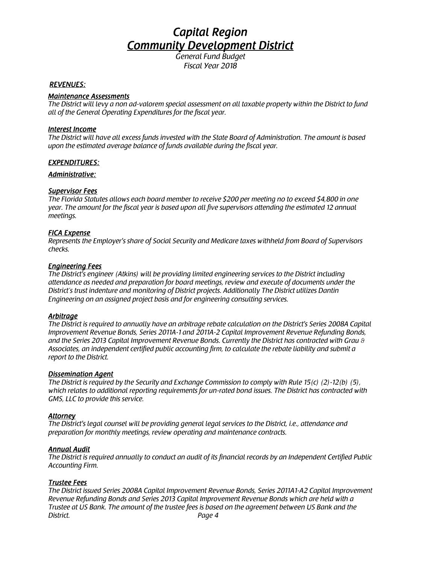*Fiscal Year 2018*

### *REVENUES:*

### *Maintenance Assessments*

*The District will levy a non ad-valorem special assessment on all taxable property within the District to fund all of the General Operating Expenditures for the fiscal year.*

### *Interest Income*

*The District will have all excess funds invested with the State Board of Administration. The amount is based upon the estimated average balance of funds available during the fiscal year.*

### *EXPENDITURES:*

### *Administrative:*

### *Supervisor Fees*

*The Florida Statutes allows each board member to receive \$200 per meeting no to exceed \$4,800 in one year. The amount for the fiscal year is based upon all five supervisors attending the estimated 12 annual meetings.*

### *FICA Expense*

*Represents the Employer's share of Social Security and Medicare taxes withheld from Board of Supervisors checks.*

### *Engineering Fees*

*The District's engineer (Atkins) will be providing limited engineering services to the District including attendance as needed and preparation for board meetings, review and execute of documents under the District's trust indenture and monitoring of District projects. Additionally The District utilizes Dantin Engineering on an assigned project basis and for engineering consulting services.*

### *Arbitrage*

*The District is required to annually have an arbitrage rebate calculation on the District's Series 2008A Capital Improvement Revenue Bonds, Series 2011A-1 and 2011A-2 Capital Improvement Revenue Refunding Bonds, and the Series 2013 Capital Improvement Revenue Bonds. Currently the District has contracted with Grau & Associates, an independent certified public accounting firm, to calculate the rebate liability and submit a report to the District.*

### *Dissemination Agent*

*The District is required by the Security and Exchange Commission to comply with Rule 15(c) (2)-12(b) (5), which relates to additional reporting requirements for un-rated bond issues. The District has contracted with GMS, LLC to provide this service.*

### *Attorney*

*The District's legal counsel will be providing general legal services to the District, i.e., attendance and preparation for monthly meetings, review operating and maintenance contracts.*

### *Annual Audit*

*The District is required annually to conduct an audit of its financial records by an Independent Certified Public Accounting Firm.*

### *Trustee Fees*

*The District issued Series 2008A Capital Improvement Revenue Bonds, Series 2011A1-A2 Capital Improvement Revenue Refunding Bonds and Series 2013 Capital Improvement Revenue Bonds which are held with a Trustee at US Bank. The amount of the trustee fees is based on the agreement between US Bank and the District. Page 4*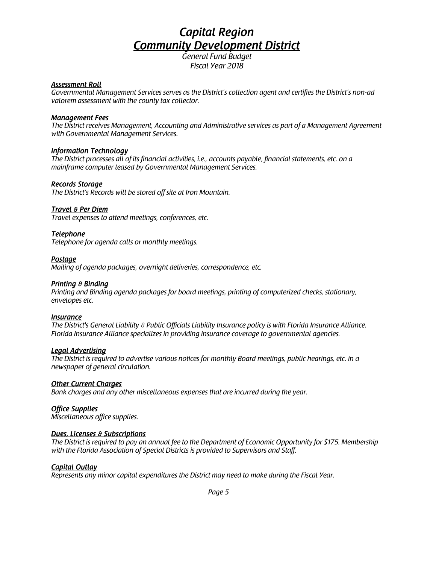*Fiscal Year 2018*

### *Assessment Roll*

*Governmental Management Services serves as the District's collection agent and certifies the District's non-ad valorem assessment with the county tax collector.*

### *Management Fees*

*The District receives Management, Accounting and Administrative services as part of a Management Agreement with Governmental Management Services.*

### *Information Technology*

*The District processes all of its financial activities, i.e., accounts payable, financial statements, etc. on a mainframe computer leased by Governmental Management Services.*

### *Records Storage*

*The District's Records will be stored off site at Iron Mountain.*

### *Travel & Per Diem*

*Travel expenses to attend meetings, conferences, etc.*

### *Telephone*

*Telephone for agenda calls or monthly meetings.*

### *Postage*

*Mailing of agenda packages, overnight deliveries, correspondence, etc.*

### *Printing & Binding*

*Printing and Binding agenda packages for board meetings, printing of computerized checks, stationary, envelopes etc.*

### *Insurance*

*The District's General Liability & Public Officials Liability Insurance policy is with Florida Insurance Alliance. Florida Insurance Alliance specializes in providing insurance coverage to governmental agencies.*

### *Legal Advertising*

*The District is required to advertise various notices for monthly Board meetings, public hearings, etc. in a newspaper of general circulation.*

### *Other Current Charges*

*Bank charges and any other miscellaneous expenses that are incurred during the year.*

### *Office Supplies*

*Miscellaneous office supplies.*

### *Dues, Licenses & Subscriptions*

*The District is required to pay an annual fee to the Department of Economic Opportunity for \$175. Membership with the Florida Association of Special Districts is provided to Supervisors and Staff.*

### *Capital Outlay*

*Represents any minor capital expenditures the District may need to make during the Fiscal Year.*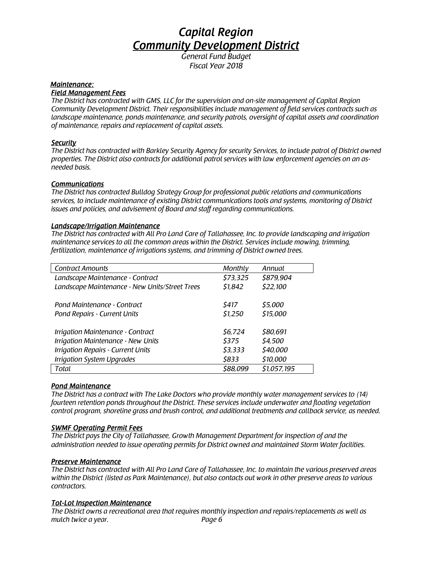*Fiscal Year 2018*

### *Maintenance:*

#### *Field Management Fees*

*The District has contracted with GMS, LLC for the supervision and on-site management of Capital Region Community Development District. Their responsibilities include management of field services contracts such as landscape maintenance, ponds maintenance, and security patrols, oversight of capital assets and coordination of maintenance, repairs and replacement of capital assets.*

### *Security*

*The District has contracted with Barkley Security Agency for security Services, to include patrol of District owned properties. The District also contracts for additional patrol services with law enforcement agencies on an asneeded basis.*

### *Communications*

*The District has contracted Bulldog Strategy Group for professional public relations and communications services, to include maintenance of existing District communications tools and systems, monitoring of District issues and policies, and advisement of Board and staff regarding communications.*

### *Landscape/Irrigation Maintenance*

*The District has contracted with All Pro Land Care of Tallahassee, Inc. to provide landscaping and irrigation maintenance services to all the common areas within the District. Services include mowing, trimming, fertilization, maintenance of irrigations systems, and trimming of District owned trees.*

| <b>Contract Amounts</b>                        | Monthly  | Annual      |
|------------------------------------------------|----------|-------------|
| Landscape Maintenance - Contract               | \$73,325 | \$879,904   |
| Landscape Maintenance - New Units/Street Trees | \$1,842  | \$22,100    |
|                                                |          |             |
| Pond Maintenance - Contract                    | \$417    | \$5,000     |
| Pond Repairs - Current Units                   | \$1,250  | \$15,000    |
|                                                |          |             |
| Irrigation Maintenance - Contract              | \$6,724  | \$80,691    |
| Irrigation Maintenance - New Units             | \$375    | \$4,500     |
| <b>Irrigation Repairs - Current Units</b>      | \$3,333  | \$40,000    |
| <b>Irrigation System Upgrades</b>              | \$833    | \$10,000    |
| Total                                          | \$88,099 | \$1,057,195 |

### *Pond Maintenance*

*The District has a contract with The Lake Doctors who provide monthly water management services to (14) fourteen retention ponds throughout the District. These services include underwater and floating vegetation control program, shoreline grass and brush control, and additional treatments and callback service, as needed.*

### *SWMF Operating Permit Fees*

*The District pays the City of Tallahassee, Growth Management Department for inspection of and the administration needed to issue operating permits for District owned and maintained Storm Water facilities.*

### *Preserve Maintenance*

*The District has contracted with All Pro Land Care of Tallahassee, Inc. to maintain the various preserved areas within the District (listed as Park Maintenance), but also contacts out work in other preserve areas to various contractors.*

### *Tot-Lot Inspection Maintenance*

*The District owns a recreational area that requires monthly inspection and repairs/replacements as well as mulch twice a year. Page 6*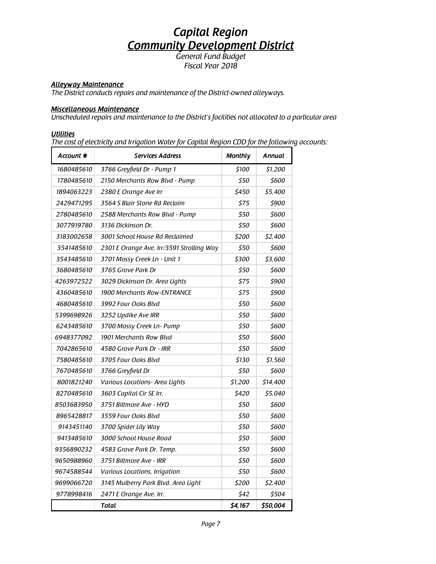*Fiscal Year 2018*

### *Alleyway Maintenance*

*The District conducts repairs and maintenance of the District-owned alleyways.* 

#### *Miscellaneous Maintenance*

*Unscheduled repairs and maintenance to the District's facilities not allocated to a particular area* 

### *Utilities*

*The cost of electricity and Irrigation Water for Capital Region CDD for the following accounts:*

| Account #  | <b>Services Address</b>                   | <b>Monthly</b> | Annual   |
|------------|-------------------------------------------|----------------|----------|
| 1680485610 | 3766 Greyfield Dr - Pump 1                | \$100          | \$1,200  |
| 1780485610 | 2150 Merchants Row Blvd - Pump            | 550            | \$600    |
| 1894063223 | 2380 E Orange Ave Irr                     | \$450          | \$5,400  |
| 2429471295 | 3564 S Blair Stone Rd Reclaim             | \$75           | \$900    |
| 2780485610 | 2588 Merchants Row Blvd - Pump            | \$50           | \$600    |
| 3077919780 | 3136 Dickinson Dr.                        | \$50           | \$600    |
| 3183002658 | 3001 School House Rd Reclaimed            | \$200          | \$2,400  |
| 3541485610 | 2301 E Orange Ave, Irr/3591 Strolling Way | \$50           | \$600    |
| 3543485610 | 3701 Mossy Creek Ln - Unit 1              | \$300          | \$3,600  |
| 3680485610 | 3765 Grove Park Dr                        | \$50           | 5600     |
| 4263972522 | 3029 Dickinson Dr. Area Lights            | \$75           | \$900    |
| 4360485610 | 1900 Merchants Row-ENTRANCE               | \$75           | \$900    |
| 4680485610 | 3992 Four Oaks Blvd                       | \$50           | \$600    |
| 5399698926 | 3252 Updike Ave IRR                       | \$50           | \$600    |
| 6243485610 | 3700 Mossy Creek Ln- Pump                 | \$50           | \$600    |
| 6948377092 | 1901 Merchants Row Blvd                   | \$50           | \$600    |
| 7042865610 | 4580 Grove Park Dr - IRR                  | \$50           | \$600    |
| 7580485610 | 3705 Four Oaks Blvd                       | \$130          | \$1,560  |
| 7670485610 | 3766 Greyfield Dr                         | \$50           | \$600    |
| 8001821240 | Various Locations - Area Lights           | \$1,200        | \$14,400 |
| 8270485610 | 3603 Capital Cir SE Irr.                  | \$420          | \$5,040  |
| 8503683950 | 3751 Biltmore Ave - HYD                   | \$50           | \$600    |
| 8965428817 | 3559 Four Oaks Blvd                       | \$50           | \$600    |
| 9143451140 | 3700 Spider Lily Way                      | \$50           | 5600     |
| 9413485610 | 3000 School House Road                    | 550            | 5600     |
| 9356890232 | 4583 Grove Park Dr. Temp.                 | \$50           | \$600    |
| 9650988960 | 3751 Biltmore Ave - IRR                   | \$50           | \$600    |
| 9674588544 | Various Locations, Irrigation             | \$50           | 5600     |
| 9699066720 | 3145 Mulberry Park Blvd. Area Light       | \$200          | \$2,400  |
| 9778998416 | 2471 E Orange Ave. Irr.                   | \$42           | \$504    |
|            | Total                                     | \$4,167        | \$50,004 |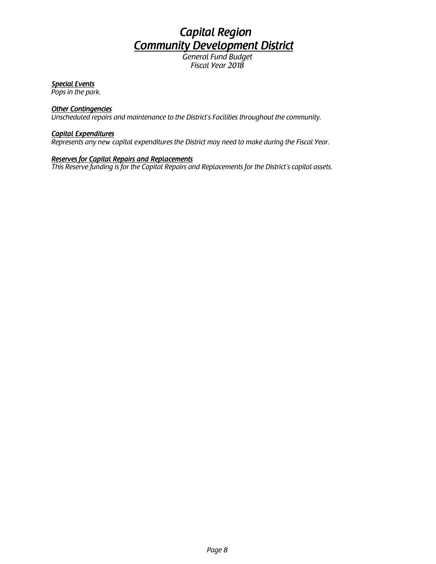## *Capital Region Community Development District*

*General Fund Budget Fiscal Year 2018*

### *Special Events*

*Pops in the park.* 

### *Other Contingencies*

*Unscheduled repairs and maintenance to the District's Facilities throughout the community.*

### *Capital Expenditures*

*Represents any new capital expenditures the District may need to make during the Fiscal Year.* 

### *Reserves for Capital Repairs and Replacements*

*This Reserve funding is for the Capital Repairs and Replacements for the District's capital assets.*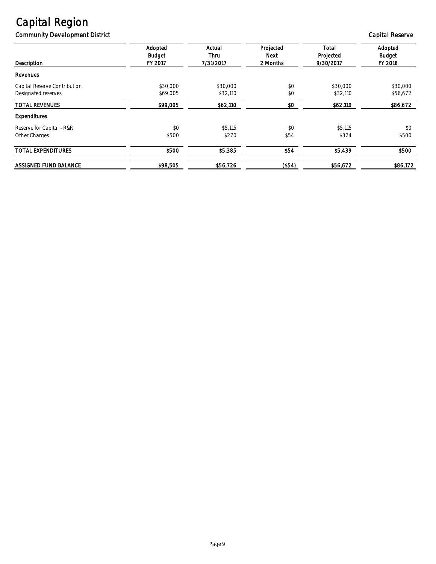*Community Development District Capital Reserve*

| Description                                         | Adopted<br>Budget<br>FY 2017 | Actual<br>Thru<br>7/31/2017 | Projected<br>Next<br>2 Months | Total<br>Projected<br>9/30/2017 | Adopted<br>Budget<br>FY 2018 |
|-----------------------------------------------------|------------------------------|-----------------------------|-------------------------------|---------------------------------|------------------------------|
| Revenues                                            |                              |                             |                               |                                 |                              |
| Capital Reserve Contribution<br>Designated reserves | \$30.000<br>\$69,005         | \$30,000<br>\$32,110        | \$0<br>\$0                    | \$30.000<br>\$32,110            | \$30,000<br>\$56,672         |
| <b>TOTAL REVENUES</b>                               | \$99,005                     | \$62,110                    | \$0                           | \$62,110                        | \$86,672                     |
| Expenditures                                        |                              |                             |                               |                                 |                              |
| Reserve for Capital - R&R<br>Other Charges          | \$0<br>\$500                 | \$5,115<br>\$270            | \$0<br>\$54                   | \$5,115<br>\$324                | \$0<br>\$500                 |
| <b>TOTAL EXPENDITURES</b>                           | \$500                        | \$5,385                     | \$54                          | \$5,439                         | \$500                        |
| <b>ASSIGNED FUND BALANCE</b>                        | \$98,505                     | \$56,726                    | ( \$54)                       | \$56,672                        | \$86,172                     |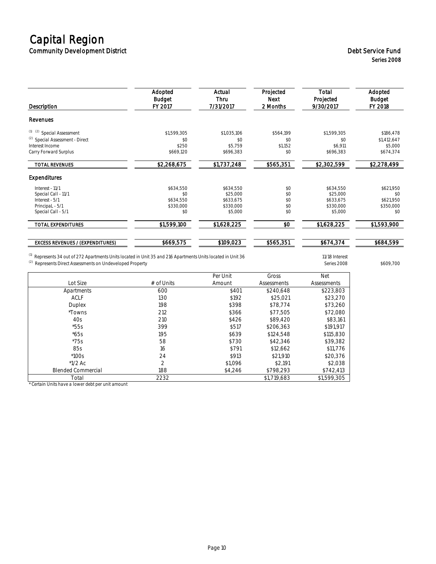## *Capital Region Community Development District Debt Service Fund*

## *Series 2008*

| Description                                | Adopted<br>Budget<br>FY 2017 | Actual<br>Thru<br>7/31/2017 | Projected<br>Next<br>2 Months | Total<br>Projected<br>9/30/2017 | Adopted<br>Budget<br>FY 2018 |
|--------------------------------------------|------------------------------|-----------------------------|-------------------------------|---------------------------------|------------------------------|
| Revenues                                   |                              |                             |                               |                                 |                              |
| (1) (2) Special Assessment                 | \$1,599,305                  | \$1,035,106                 | \$564,199                     | \$1,599,305                     | \$186,478                    |
| <sup>(2)</sup> Special Assessment - Direct | \$0                          | \$0                         | \$0                           | \$0                             | \$1,412,647                  |
| Interest Income<br>Carry Forward Surplus   | \$250<br>\$669,120           | \$5,759<br>\$696,383        | \$1,152<br>\$0                | \$6,911<br>\$696,383            | \$5,000<br>\$674,374         |
| <b>TOTAL REVENUES</b>                      | \$2,268,675                  | \$1,737,248                 | \$565,351                     | \$2,302,599                     | \$2,278,499                  |
| Expenditures                               |                              |                             |                               |                                 |                              |
| Interest - 11/1                            | \$634,550                    | \$634,550                   | \$0                           | \$634,550                       | \$621,950                    |
| Special Call - 11/1                        | \$0                          | \$25,000                    | \$0                           | \$25,000                        | \$0                          |
| Interest - 5/1<br>PrincipaL - 5/1          | \$634,550<br>\$330,000       | \$633,675<br>\$330,000      | \$0<br>\$0                    | \$633,675<br>\$330,000          | \$621.950<br>\$350,000       |
| Special Call - 5/1                         | \$0                          | \$5,000                     | \$0                           | \$5,000                         | \$0                          |
| <b>TOTAL EXPENDITURES</b>                  | \$1,599,100                  | \$1,628,225                 | \$0                           | \$1,628,225                     | \$1,593,900                  |
| <b>EXCESS REVENUES / (EXPENDITURES)</b>    | \$669,575                    | \$109,023                   | \$565,351                     | \$674,374                       | \$684,599                    |

*(1) Represents 34 out of 272 Apartments Units located in Unit 35 and 216 Apartments Units located in Unit 36 11/18 Interest (2) Represents Direct Assessments on Undeveloped Property Series 2008 \$609,700*

*Per Unit Gross Net Lot Size # of Units Amount Assessments Assessments Apartments 600 \$401 \$240,648 \$223,803 ACLF 130 \$192 \$25,021 \$23,270 Duplex 198 \$398 \$78,774 \$73,260 \*Towns 212 \$366 \$77,505 \$72,080 40s 210 \$426 \$89,420 \$83,161 \*55s 399 \$517 \$206,363 \$191,917 \*65s 195 \$639 \$124,548 \$115,830 \*75s 58 \$730 \$42,346 \$39,382 85s 16 \$791 \$12,662 \$11,776 \*100s 24 \$913 \$21,910 \$20,376 \*1/2 Ac 2 \$1,096 \$2,191 \$2,038 Blended Commercial 188 \$4,246 \$798,293 \$742,413 Total 2232 \$1,719,683 \$1,599,305*

*\* Certain Units have a lower debt per unit amount*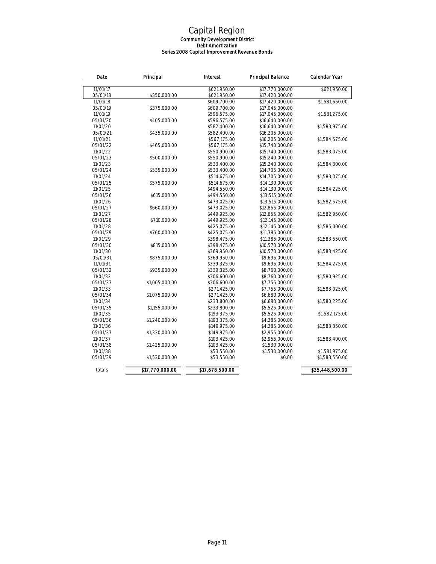#### *Capital Region Community Development District Debt Amortization Series 2008 Capital Improvement Revenue Bonds*

| Date     | Principal       | Interest        | Principal Balance | Calendar Year   |
|----------|-----------------|-----------------|-------------------|-----------------|
| 11/01/17 |                 | \$621,950.00    | \$17,770,000,00   | \$621,950.00    |
| 05/01/18 | \$350,000.00    | \$621,950.00    | \$17,420,000.00   |                 |
| 11/01/18 |                 | \$609,700.00    | \$17,420,000.00   | \$1,581,650.00  |
| 05/01/19 | \$375,000.00    | \$609,700.00    | \$17,045,000.00   |                 |
| 11/01/19 |                 | \$596,575.00    | \$17,045,000.00   | \$1,581,275.00  |
| 05/01/20 | \$405,000,00    | \$596,575.00    | \$16,640,000,00   |                 |
| 11/01/20 |                 | \$582,400.00    | \$16,640,000.00   | \$1,583,975.00  |
| 05/01/21 | \$435,000.00    | \$582,400.00    | \$16,205,000.00   |                 |
| 11/01/21 |                 | \$567,175.00    | \$16,205,000.00   | \$1,584,575.00  |
| 05/01/22 | \$465,000.00    | \$567,175.00    | \$15,740,000.00   |                 |
| 11/01/22 |                 | \$550,900.00    | \$15,740,000,00   | \$1,583,075.00  |
| 05/01/23 | \$500,000.00    | \$550,900.00    | \$15,240,000.00   |                 |
| 11/01/23 |                 | \$533,400.00    | \$15,240,000.00   | \$1,584,300.00  |
| 05/01/24 | \$535,000.00    | \$533,400.00    | \$14,705,000.00   |                 |
| 11/01/24 |                 | \$514,675.00    | \$14,705,000.00   | \$1,583,075.00  |
| 05/01/25 | \$575,000.00    | \$514,675.00    | \$14,130,000,00   |                 |
| 11/01/25 |                 | \$494,550.00    | \$14,130,000.00   | \$1,584,225.00  |
| 05/01/26 | \$615,000.00    | \$494,550.00    | \$13,515,000.00   |                 |
| 11/01/26 |                 | \$473,025.00    | \$13,515,000.00   | \$1,582,575.00  |
| 05/01/27 | \$660,000.00    | \$473,025.00    | \$12,855,000.00   |                 |
| 11/01/27 |                 | \$449,925.00    | \$12,855,000.00   | \$1,582,950.00  |
| 05/01/28 | \$710,000.00    | \$449,925.00    | \$12,145,000.00   |                 |
| 11/01/28 |                 | \$425,075.00    | \$12,145,000.00   | \$1,585,000.00  |
| 05/01/29 | \$760,000.00    | \$425,075.00    | \$11,385,000.00   |                 |
| 11/01/29 |                 | \$398,475.00    | \$11,385,000.00   | \$1,583,550.00  |
| 05/01/30 | \$815,000.00    | \$398,475.00    | \$10,570,000.00   |                 |
| 11/01/30 |                 | \$369,950.00    | \$10,570,000.00   | \$1,583,425.00  |
| 05/01/31 | \$875,000.00    | \$369,950.00    | \$9,695,000.00    |                 |
| 11/01/31 |                 | \$339,325.00    | \$9,695,000.00    | \$1,584,275.00  |
| 05/01/32 | \$935,000.00    | \$339,325.00    | \$8,760,000.00    |                 |
| 11/01/32 |                 | \$306,600.00    | \$8,760,000.00    | \$1,580,925.00  |
| 05/01/33 | \$1,005,000.00  | \$306,600.00    | \$7,755,000.00    |                 |
| 11/01/33 |                 | \$271,425.00    | \$7,755,000.00    | \$1,583,025.00  |
| 05/01/34 | \$1,075,000.00  | \$271,425.00    | \$6,680,000.00    |                 |
| 11/01/34 |                 | \$233,800.00    | \$6,680,000.00    | \$1,580,225.00  |
| 05/01/35 | \$1,155,000.00  | \$233,800.00    | \$5,525,000.00    |                 |
| 11/01/35 |                 | \$193,375.00    | \$5,525,000.00    | \$1,582,175.00  |
| 05/01/36 | \$1,240,000.00  | \$193,375.00    | \$4,285,000.00    |                 |
| 11/01/36 |                 | \$149,975.00    | \$4,285,000.00    | \$1,583,350.00  |
| 05/01/37 | \$1,330,000.00  | \$149,975.00    | \$2,955,000.00    |                 |
| 11/01/37 |                 | \$103,425.00    | \$2,955,000.00    | \$1,583,400.00  |
| 05/01/38 | \$1,425,000.00  | \$103,425.00    | \$1,530,000.00    |                 |
| 11/01/38 |                 | \$53,550.00     | \$1,530,000.00    | \$1,581,975.00  |
| 05/01/39 | \$1,530,000.00  | \$53,550.00     | \$0.00            | \$1,583,550.00  |
| totals   | \$17,770,000.00 | \$17,678,500.00 |                   | \$35,448,500.00 |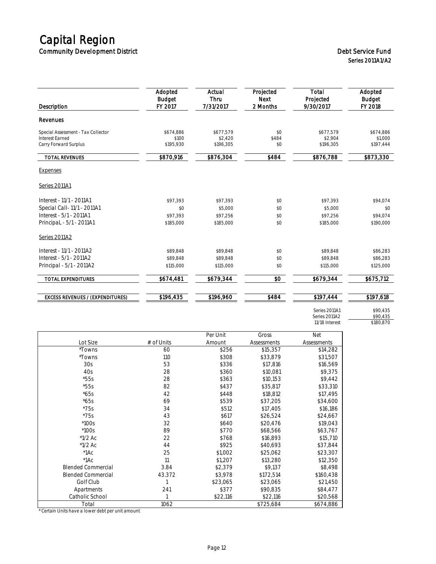## *Capital Region Community Development District Debt Service Fund*

*Series 2011A1/A2*

| <b>Description</b>                              | Adopted<br>Budget<br>FY 2017 | Actual<br>Thru<br>7/31/2017 | Projected<br>Next<br>2 Months | Total<br>Projected<br>9/30/2017 | Adopted<br><b>Budget</b><br>FY 2018 |
|-------------------------------------------------|------------------------------|-----------------------------|-------------------------------|---------------------------------|-------------------------------------|
| Revenues                                        |                              |                             |                               |                                 |                                     |
| Special Assessment - Tax Collector              | \$674.886                    | \$677.579                   | \$0                           | \$677,579                       | \$674,886                           |
| <b>Interest Farned</b><br>Carry Forward Surplus | \$100<br>\$195,930           | \$2.420<br>\$196,305        | \$484<br>\$0                  | \$2,904<br>\$196,305            | \$1,000<br>\$197,444                |
| <b>TOTAL REVENUES</b>                           | \$870,916                    | \$876,304                   | \$484                         | \$876,788                       | \$873,330                           |
| <b>Expenses</b>                                 |                              |                             |                               |                                 |                                     |
| Series 2011A1                                   |                              |                             |                               |                                 |                                     |
| Interest - 11/1 - 2011A1                        | \$97.393                     | \$97,393                    | \$0                           | \$97,393                        | \$94,074                            |
| Special Call-11/1 - 2011A1                      | \$0                          | \$5,000                     | \$0                           | \$5,000                         | \$0                                 |
| Interest - 5/1 - 2011A1                         | \$97.393                     | \$97,256                    | \$0                           | \$97,256                        | \$94.074                            |
| PrincipaL - 5/1 - 2011A1                        | \$185,000                    | \$185,000                   | \$0                           | \$185,000                       | \$190,000                           |
| Series 2011A2                                   |                              |                             |                               |                                 |                                     |
| Interest - 11/1 - 2011A2                        | \$89.848                     | \$89.848                    | \$0                           | \$89.848                        | \$86,283                            |
| Interest - 5/1 - 2011A2                         | \$89.848                     | \$89.848                    | \$0                           | \$89,848                        | \$86,283                            |
| Principal - 5/1 - 2011A2                        | \$115,000                    | \$115,000                   | \$0                           | \$115,000                       | \$125,000                           |
| <b>TOTAL EXPENDITURES</b>                       | \$674,481                    | \$679,344                   | \$0                           | \$679,344                       | \$675,712                           |
| <b>EXCESS REVENUES / (EXPENDITURES)</b>         | \$196,435                    | \$196,960                   | \$484                         | \$197,444                       | \$197,618                           |

*Series 2011A1 \$90,435 Series 2011A2 \$90,435 11/18 Interest \$180,870*

|                           |            | Per Unit | Gross              | Net                |
|---------------------------|------------|----------|--------------------|--------------------|
| Lot Size                  | # of Units | Amount   | <b>Assessments</b> | <b>Assessments</b> |
| <i>*Towns</i>             | 60         | \$256    | \$15,357           | \$14,282           |
| <i>*Towns</i>             | 110        | \$308    | \$33,879           | \$31,507           |
| 30s                       | 53         | \$336    | \$17,816           | \$16,569           |
| 40s                       | 28         | \$360    | \$10,081           | \$9,375            |
| $*55s$                    | 28         | \$363    | \$10,153           | \$9,442            |
| $*55s$                    | 82         | \$437    | \$35,817           | \$33,310           |
| $*65s$                    | 42         | \$448    | \$18,812           | \$17,495           |
| $*65s$                    | 69         | \$539    | \$37,205           | \$34,600           |
| $*75s$                    | 34         | \$512    | \$17,405           | \$16,186           |
| $*75s$                    | 43         | \$617    | \$26,524           | \$24,667           |
| $*100s$                   | 32         | \$640    | \$20,476           | \$19,043           |
| $*100s$                   | 89         | \$770    | \$68,566           | \$63,767           |
| *1/2 Ac                   | 22         | \$768    | \$16,893           | \$15,710           |
| $*1/2$ Ac                 | 44         | \$925    | \$40,693           | \$37,844           |
| $*1AC$                    | 25         | \$1,002  | \$25,062           | \$23,307           |
| $*1AC$                    | 11         | \$1,207  | \$13,280           | \$12,350           |
| <b>Blended Commercial</b> | 3.84       | \$2,379  | \$9,137            | \$8,498            |
| <b>Blended Commercial</b> | 43.372     | \$3,978  | \$172,514          | \$160,438          |
| Golf Club                 |            | \$23,065 | \$23,065           | \$21,450           |
| Apartments                | 241        | \$377    | \$90,835           | \$84,477           |
| Catholic School           |            | \$22,116 | \$22,116           | \$20,568           |
| Total                     | 1062       |          | \$725,684          | \$674,886          |

*\* Certain Units have a lower debt per unit amount*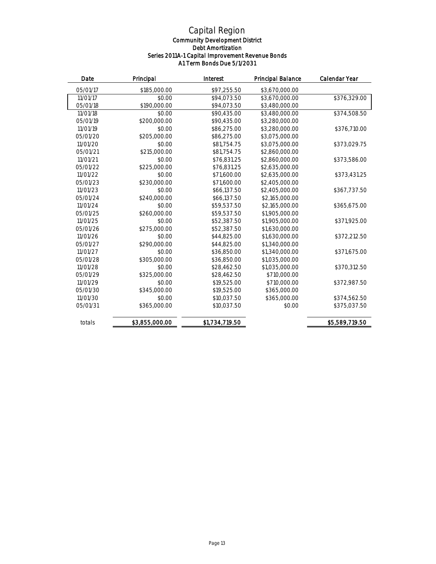#### *Community Development District Debt Amortization Series 2011A-1 Capital Improvement Revenue Bonds A1 Term Bonds Due 5/1/2031*

| Date     | Principal      | Interest       | <b>Principal Balance</b> | Calendar Year  |
|----------|----------------|----------------|--------------------------|----------------|
| 05/01/17 | \$185,000.00   | \$97,255.50    | \$3,670,000.00           |                |
| 11/01/17 | \$0.00         | \$94.073.50    | \$3,670,000,00           | \$376,329.00   |
| 05/01/18 | \$190,000.00   | \$94,073.50    | \$3,480,000.00           |                |
| 11/01/18 | \$0.00         | \$90,435.00    | \$3,480,000.00           | \$374,508.50   |
| 05/01/19 | \$200,000.00   | \$90,435.00    | \$3,280,000.00           |                |
| 11/01/19 | \$0.00         | \$86,275.00    | \$3,280,000.00           | \$376,710.00   |
| 05/01/20 | \$205,000.00   | \$86,275.00    | \$3,075,000.00           |                |
| 11/01/20 | \$0.00         | \$81,754.75    | \$3,075,000.00           | \$373,029.75   |
| 05/01/21 | \$215,000.00   | \$81,754.75    | \$2,860,000.00           |                |
| 11/01/21 | \$0.00         | \$76,831.25    | \$2,860,000.00           | \$373,586.00   |
| 05/01/22 | \$225,000.00   | \$76,831.25    | \$2,635,000.00           |                |
| 11/01/22 | \$0.00         | \$71,600.00    | \$2,635,000.00           | \$373.431.25   |
| 05/01/23 | \$230,000.00   | \$71,600.00    | \$2,405,000.00           |                |
| 11/01/23 | \$0.00         | \$66,137.50    | \$2,405,000.00           | \$367,737.50   |
| 05/01/24 | \$240,000.00   | \$66,137.50    | \$2,165,000.00           |                |
| 11/01/24 | \$0.00         | \$59,537.50    | \$2,165,000.00           | \$365,675.00   |
| 05/01/25 | \$260,000.00   | \$59,537.50    | \$1,905,000.00           |                |
| 11/01/25 | \$0.00         | \$52,387.50    | \$1,905,000.00           | \$371,925.00   |
| 05/01/26 | \$275,000.00   | \$52,387.50    | \$1,630,000.00           |                |
| 11/01/26 | \$0.00         | \$44,825.00    | \$1,630,000.00           | \$372,212.50   |
| 05/01/27 | \$290,000.00   | \$44,825.00    | \$1,340,000.00           |                |
| 11/01/27 | \$0.00         | \$36,850.00    | \$1,340,000.00           | \$371,675.00   |
| 05/01/28 | \$305,000.00   | \$36,850.00    | \$1,035,000.00           |                |
| 11/01/28 | \$0.00         | \$28,462.50    | \$1,035,000.00           | \$370,312.50   |
| 05/01/29 | \$325,000.00   | \$28,462.50    | \$710,000.00             |                |
| 11/01/29 | \$0.00         | \$19,525.00    | \$710,000.00             | \$372,987.50   |
| 05/01/30 | \$345,000.00   | \$19,525.00    | \$365,000.00             |                |
| 11/01/30 | \$0.00         | \$10,037.50    | \$365,000.00             | \$374,562.50   |
| 05/01/31 | \$365,000.00   | \$10,037.50    | \$0.00                   | \$375,037.50   |
| totals   | \$3,855,000.00 | \$1,734,719.50 |                          | \$5,589,719.50 |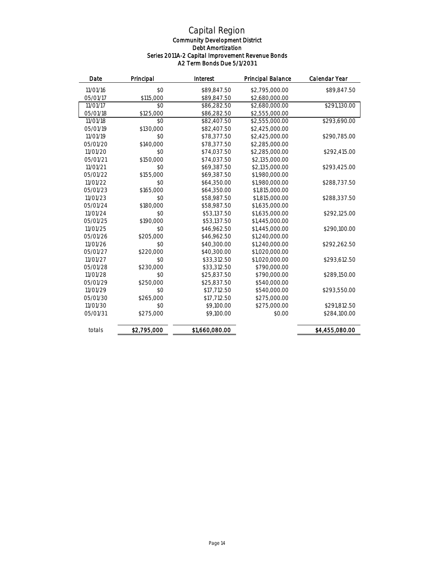#### *Community Development District Debt Amortization Series 2011A-2 Capital Improvement Revenue Bonds A2 Term Bonds Due 5/1/2031*

| Date     | Principal   | Interest       | Principal Balance | Calendar Year  |
|----------|-------------|----------------|-------------------|----------------|
| 11/01/16 | \$0         | \$89,847.50    | \$2,795,000.00    | \$89,847.50    |
| 05/01/17 | \$115,000   | \$89,847.50    | \$2,680,000.00    |                |
| 11/01/17 | \$0         | \$86,282.50    | \$2,680,000,00    | \$291,130.00   |
| 05/01/18 | \$125,000   | \$86,282.50    | \$2,555,000.00    |                |
| 11/01/18 | \$0         | \$82,407.50    | \$2,555,000.00    | \$293.690.00   |
| 05/01/19 | \$130,000   | \$82,407.50    | \$2,425,000.00    |                |
| 11/01/19 | \$0         | \$78,377.50    | \$2,425,000.00    | \$290,785.00   |
| 05/01/20 | \$140,000   | \$78,377.50    | \$2,285,000.00    |                |
| 11/01/20 | \$0         | \$74,037.50    | \$2,285,000.00    | \$292,415.00   |
| 05/01/21 | \$150,000   | \$74,037.50    | \$2,135,000.00    |                |
| 11/01/21 | \$0         | \$69,387.50    | \$2,135,000.00    | \$293,425.00   |
| 05/01/22 | \$155,000   | \$69,387.50    | \$1,980,000.00    |                |
| 11/01/22 | \$0         | \$64,350.00    | \$1,980,000.00    | \$288,737.50   |
| 05/01/23 | \$165,000   | \$64,350.00    | \$1,815,000.00    |                |
| 11/01/23 | \$0         | \$58,987.50    | \$1,815,000.00    | \$288,337.50   |
| 05/01/24 | \$180,000   | \$58,987.50    | \$1,635,000.00    |                |
| 11/01/24 | \$0         | \$53,137.50    | \$1,635,000.00    | \$292,125.00   |
| 05/01/25 | \$190,000   | \$53,137.50    | \$1,445,000.00    |                |
| 11/01/25 | \$0         | \$46,962.50    | \$1,445,000.00    | \$290,100.00   |
| 05/01/26 | \$205,000   | \$46,962.50    | \$1,240,000.00    |                |
| 11/01/26 | $$^{o}$     | \$40,300.00    | \$1,240,000.00    | \$292,262.50   |
| 05/01/27 | \$220,000   | \$40,300.00    | \$1,020,000.00    |                |
| 11/01/27 | \$0         | \$33,312.50    | \$1,020,000,00    | \$293,612.50   |
| 05/01/28 | \$230,000   | \$33,312.50    | \$790,000.00      |                |
| 11/01/28 | \$0         | \$25,837.50    | \$790,000.00      | \$289,150.00   |
| 05/01/29 | \$250,000   | \$25,837.50    | \$540,000.00      |                |
| 11/01/29 | \$0         | \$17,712.50    | \$540,000.00      | \$293,550.00   |
| 05/01/30 | \$265,000   | \$17,712.50    | \$275,000.00      |                |
| 11/01/30 | \$0         | \$9,100.00     | \$275,000.00      | \$291,812.50   |
| 05/01/31 | \$275,000   | \$9,100.00     | \$0.00            | \$284,100.00   |
| totals   | \$2,795,000 | \$1,660,080.00 |                   | \$4,455,080.00 |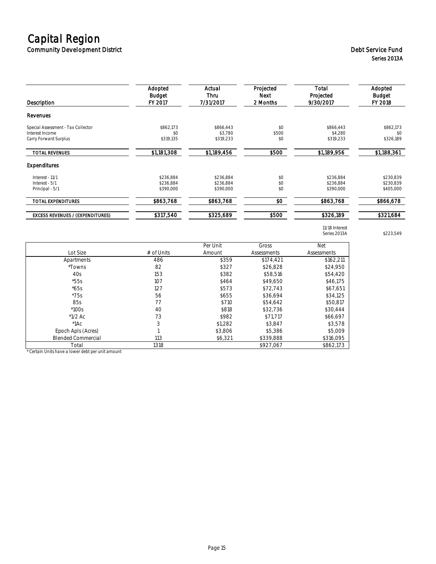### *Capital Region Community Development District Debt Service Fund*

| Description                                                                    | Adopted<br>Budget<br>FY 2017        | Actual<br>Thru<br>7/31/2017         | Projected<br>Next<br>2 Months | Total<br>Projected<br>9/30/2017     | Adopted<br>Budget<br>FY 2018        |
|--------------------------------------------------------------------------------|-------------------------------------|-------------------------------------|-------------------------------|-------------------------------------|-------------------------------------|
| Revenues                                                                       |                                     |                                     |                               |                                     |                                     |
| Special Assessment - Tax Collector<br>Interest Income<br>Carry Forward Surplus | \$862,173<br>\$0<br>\$319,135       | \$866,443<br>\$3.780<br>\$319,233   | \$0<br>\$500<br>\$0           | \$866,443<br>\$4,280<br>\$319,233   | \$862,173<br>\$0<br>\$326,189       |
| <b>TOTAL REVENUES</b>                                                          | \$1,181,308                         | \$1,189,456                         | \$500                         | \$1,189,956                         | \$1,188,361                         |
| Expenditures                                                                   |                                     |                                     |                               |                                     |                                     |
| Interest - 11/1<br>Interest - 5/1<br>Principal - 5/1                           | \$236,884<br>\$236.884<br>\$390.000 | \$236,884<br>\$236.884<br>\$390,000 | \$0<br>\$0<br>\$0             | \$236,884<br>\$236.884<br>\$390,000 | \$230,839<br>\$230.839<br>\$405,000 |
| <b>TOTAL EXPENDITURES</b>                                                      | \$863,768                           | \$863,768                           | \$0                           | \$863,768                           | \$866,678                           |
| <b>EXCESS REVENUES / (EXPENDITURES)</b>                                        | \$317,540                           | \$325,689                           | \$500                         | \$326,189                           | \$321,684                           |

*Series 2013A \$223,549*

*11/18 Interest*

|                           |            | Per Unit | Gross       | Net         |
|---------------------------|------------|----------|-------------|-------------|
| Lot Size                  | # of Units | Amount   | Assessments | Assessments |
| Apartments                | 486        | \$359    | \$174.421   | \$162,211   |
| *Towns                    | 82         | \$327    | \$26,828    | \$24,950    |
| 40s                       | 153        | \$382    | \$58.516    | \$54,420    |
| $*55s$                    | 107        | \$464    | \$49.650    | \$46.175    |
| $*65s$                    | 127        | \$573    | \$72.743    | \$67,651    |
| $*75s$                    | 56         | \$655    | \$36.694    | \$34.125    |
| 85s                       | 77         | \$710    | \$54.642    | \$50,817    |
| $*100s$                   | 40         | \$818    | \$32.736    | \$30,444    |
| $*1/2$ Ac                 | 73         | \$982    | \$71,717    | \$66,697    |
| $^*1AC$                   | 3          | \$1,282  | \$3.847     | \$3,578     |
| Epoch Apls (Acres)        |            | \$3,806  | \$5,386     | \$5,009     |
| <b>Blended Commercial</b> | 113        | \$6.321  | \$339,888   | \$316,095   |
| Total                     | 1318       |          | \$927.067   | \$862.173   |

*\* Certain Units have a lower debt per unit amount*